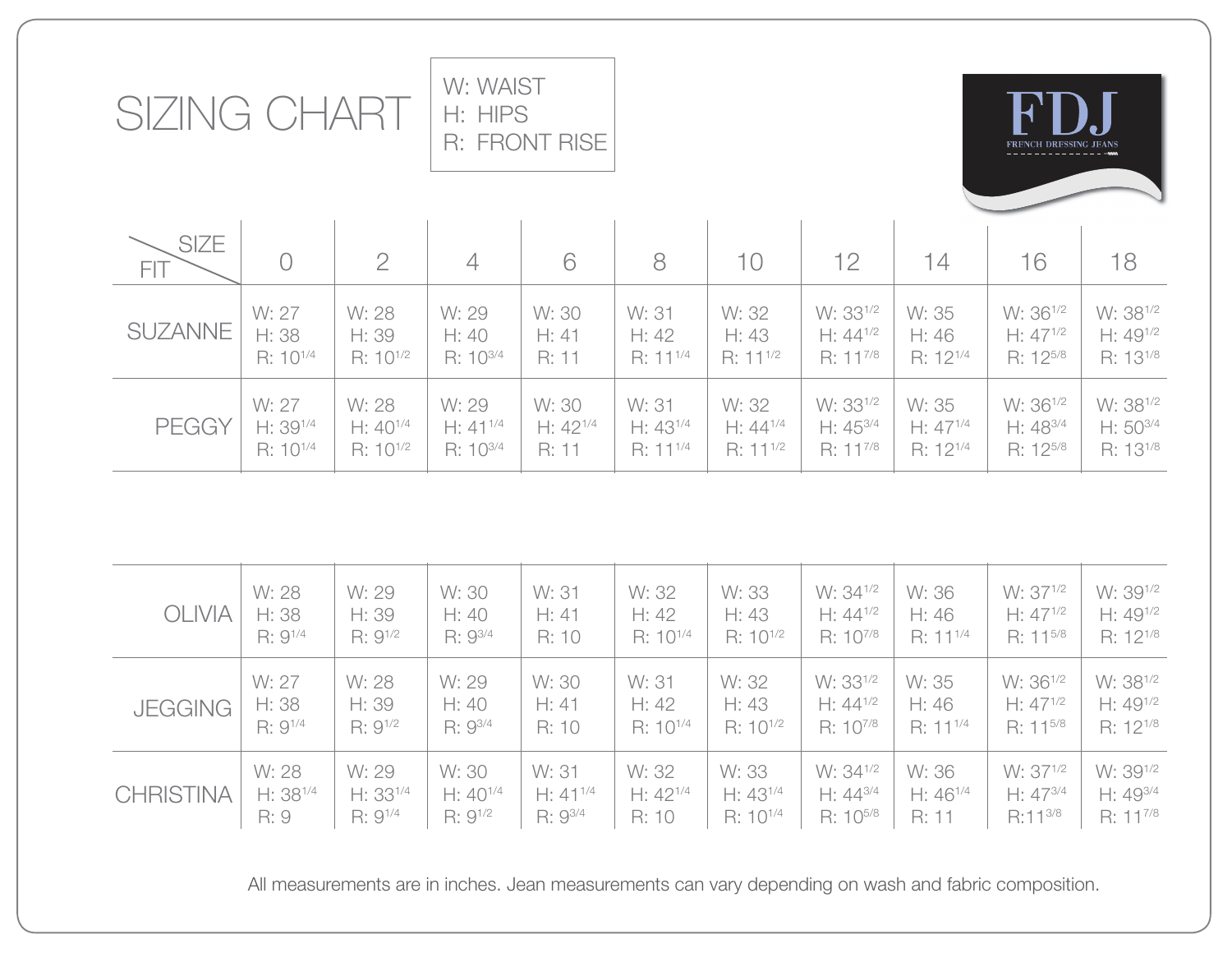| SIZING CHART              | W: WAIST<br>H: HIPS | <b>R: FRONT RISE</b> |                |               |               |               | $\mathbf{R}$<br>FRENCH DRESSING JEANS |                      |                      |                      |
|---------------------------|---------------------|----------------------|----------------|---------------|---------------|---------------|---------------------------------------|----------------------|----------------------|----------------------|
| <b>SIZE</b><br><b>FIT</b> | $\bigcirc$          | $\overline{2}$       | $\overline{4}$ | 6             | 8             | 10            | 12                                    | 14                   | 16                   | 18                   |
| <b>SUZANNE</b>            | W: 27               | W: 28                | W: 29          | W: 30         | W: 31         | W: 32         | W: 33 <sup>1/2</sup>                  | W: 35                | W: 36 <sup>1/2</sup> | W: 38 <sup>1/2</sup> |
|                           | H: 38               | H: 39                | H: 40          | H: 41         | H: 42         | H: 43         | $H: 44^{1/2}$                         | H:46                 | $H: 47^{1/2}$        | $H: 49^{1/2}$        |
|                           | $R: 10^{1/4}$       | $R: 10^{1/2}$        | $R: 10^{3/4}$  | R: 11         | $R: 11^{1/4}$ | $R: 11^{1/2}$ | $R: 11^{7/8}$                         | $R: 12^{1/4}$        | $R: 12^{5/8}$        | R: 13 <sup>1/8</sup> |
| <b>PEGGY</b>              | W: 27               | W: 28                | W: 29          | W: 30         | W: 31         | W: 32         | W: 33 <sup>1/2</sup>                  | W: 35                | W: 36 <sup>1/2</sup> | W: 38 <sup>1/2</sup> |
|                           | $H: 39^{1/4}$       | $H: 40^{1/4}$        | $H: 41^{1/4}$  | $H: 42^{1/4}$ | $H: 43^{1/4}$ | $H: 44^{1/4}$ | $H: 45^{3/4}$                         | $H: 47^{1/4}$        | $H: 48^{3/4}$        | $H: 50^{3/4}$        |
|                           | $R: 10^{1/4}$       | $R: 10^{1/2}$        | $R: 10^{3/4}$  | R: 11         | $R: 11^{1/4}$ | $R: 11^{1/2}$ | R: 117/8                              | R: 12 <sup>1/4</sup> | R: 125/8             | R: 13 <sup>1/8</sup> |

| <b>OLIVIA</b>    | W: 28         | W: 29         | W: 30         | W: 31         | W: 32         | W: 33         | W: 34 <sup>1/2</sup> | W: 36         | W: 37 <sup>1/2</sup> | W: 39 <sup>1/2</sup> |
|------------------|---------------|---------------|---------------|---------------|---------------|---------------|----------------------|---------------|----------------------|----------------------|
|                  | H: 38         | H: 39         | H: 40         | H: 41         | H: 42         | H: 43         | $H: 44^{1/2}$        | H: 46         | $H: 47^{1/2}$        | $H: 49^{1/2}$        |
|                  | $R: 9^{1/4}$  | $R: 9^{1/2}$  | $R: 9^{3/4}$  | R: 10         | $R: 10^{1/4}$ | $R: 10^{1/2}$ | $R: 10^{7/8}$        | $R: 11^{1/4}$ | $R: 11^{5/8}$        | $R: 12^{1/8}$        |
| <b>JEGGING</b>   | W: 27         | W: 28         | W: 29         | W: 30         | W: 31         | W: 32         | W: 33 <sup>1/2</sup> | W: 35         | W: 36 <sup>1/2</sup> | W: 38 <sup>1/2</sup> |
|                  | H: 38         | H: 39         | H: 40         | H: 41         | H: 42         | H: 43         | $H: 44^{1/2}$        | H: 46         | $H: 47^{1/2}$        | $H: 49^{1/2}$        |
|                  | $R: 9^{1/4}$  | $R: 9^{1/2}$  | $R: 9^{3/4}$  | R: 10         | $R: 10^{1/4}$ | $R: 10^{1/2}$ | $R: 10^{7/8}$        | $R: 11^{1/4}$ | $R: 11^{5/8}$        | $R: 12^{1/8}$        |
| <b>CHRISTINA</b> | W: 28         | W: 29         | W: 30         | W: 31         | W: 32         | W: 33         | W: 34 <sup>1/2</sup> | W: 36         | W: 37 <sup>1/2</sup> | W: 39 <sup>1/2</sup> |
|                  | $H: 38^{1/4}$ | $H: 33^{1/4}$ | $H: 40^{1/4}$ | $H: 41^{1/4}$ | $H: 42^{1/4}$ | $H: 43^{1/4}$ | $H: 44^{3/4}$        | $H: 46^{1/4}$ | $H: 47^{3/4}$        | $H: 49^{3/4}$        |
|                  | R:9           | $R: 9^{1/4}$  | $R: 9^{1/2}$  | R: 93/4       | R: 10         | $R: 10^{1/4}$ | R: 10 <sup>5/8</sup> | R: 11         | R:11 <sup>3/8</sup>  | $R: 11^{7/8}$        |

All measurements are in inches. Jean measurements can vary depending on wash and fabric composition.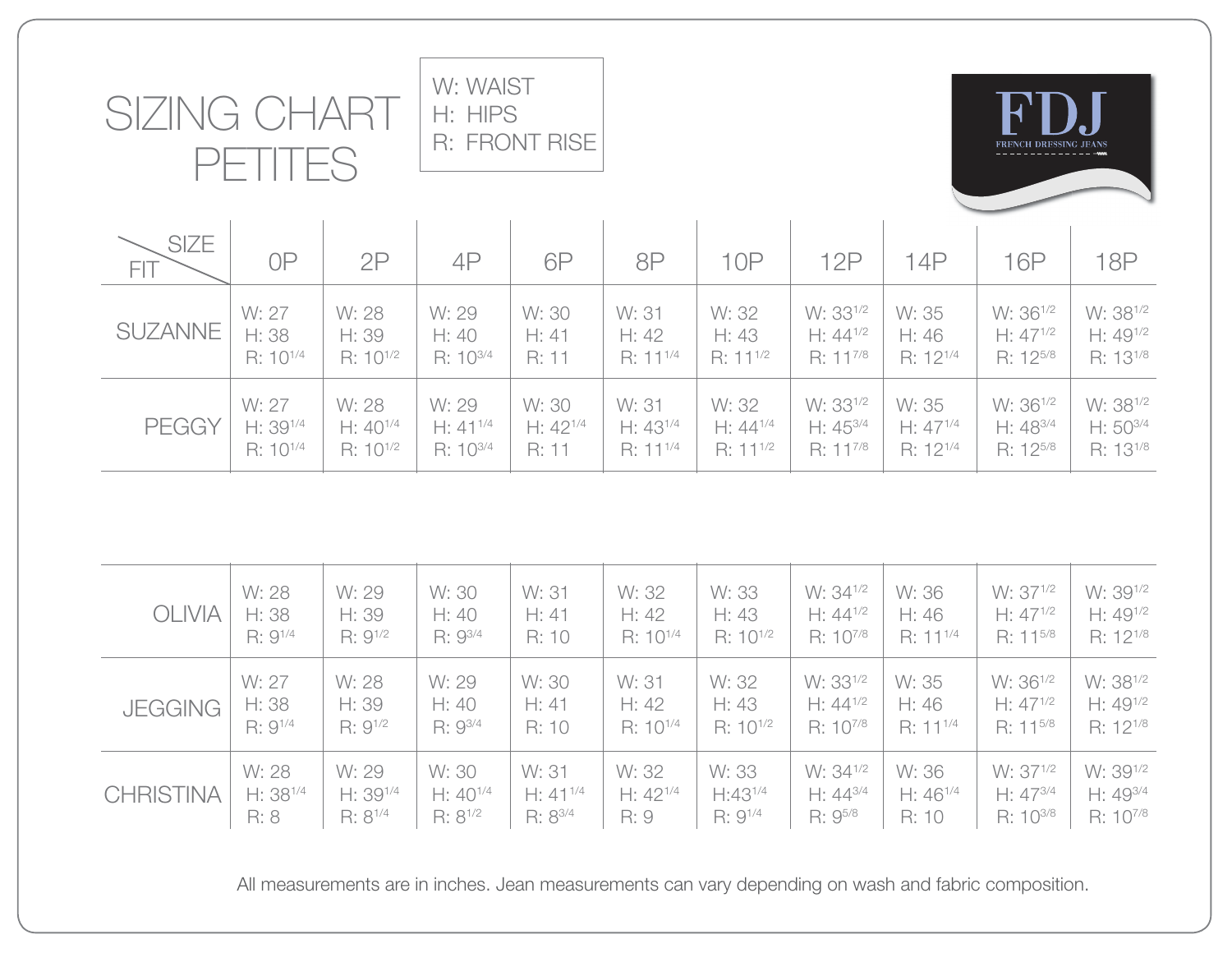| <b>SIZING</b><br>TTES<br>$\vdash\vdash$ |                      |               | H: HIPS       | R: FRONT RISE |                      |                      |                      | FRENCH DRESSING JEANS |                      |                      |
|-----------------------------------------|----------------------|---------------|---------------|---------------|----------------------|----------------------|----------------------|-----------------------|----------------------|----------------------|
| <b>SIZE</b><br>FIT                      | 0P                   | 2P            | 4P            | 6P            | 8P                   | 10P                  | 12P                  | 14P                   | <b>16P</b>           | 18P                  |
| <b>SUZANNE</b>                          | W: 27                | W: 28         | W: 29         | W: 30         | W: 31                | W: 32                | W: 33 <sup>1/2</sup> | W: 35                 | W: 36 <sup>1/2</sup> | W: 38 <sup>1/2</sup> |
|                                         | H: 38                | H: 39         | H:40          | H: 41         | H: 42                | H: 43                | $H: 44^{1/2}$        | H: 46                 | $H: 47^{1/2}$        | $H: 49^{1/2}$        |
|                                         | $R: 10^{1/4}$        | $R: 10^{1/2}$ | R: 103/4      | R: 11         | $R: 11^{1/4}$        | $R: 11^{1/2}$        | $R: 11^{7/8}$        | $R: 12^{1/4}$         | $R: 12^{5/8}$        | R: 13 <sup>1/8</sup> |
| <b>PEGGY</b>                            | W: 27                | W: 28         | W: 29         | W: 30         | W: 31                | W: 32                | W: 33 <sup>1/2</sup> | W: 35                 | W: 36 <sup>1/2</sup> | W: 38 <sup>1/2</sup> |
|                                         | $H: 39^{1/4}$        | $H: 40^{1/4}$ | $H: 41^{1/4}$ | $H: 42^{1/4}$ | $H: 43^{1/4}$        | $H: 44^{1/4}$        | $H: 45^{3/4}$        | $H: 47^{1/4}$         | $H: 48^{3/4}$        | $H: 50^{3/4}$        |
|                                         | R: 10 <sup>1/4</sup> | $R: 10^{1/2}$ | R: 103/4      | R: 11         | $R: 11^{1/4}$        | $R: 11^{1/2}$        | $R: 11^{7/8}$        | $R: 12^{1/4}$         | $R: 12^{5/8}$        | R: 13 <sup>1/8</sup> |
|                                         |                      |               |               |               |                      |                      |                      |                       |                      |                      |
| <b>OLIVIA</b>                           | W: 28                | W: 29         | W: 30         | W: 31         | W: 32                | W: 33                | W: 34 <sup>1/2</sup> | W: 36                 | W: 37 <sup>1/2</sup> | W: 391/2             |
|                                         | H: 38                | H: 39         | H: 40         | H: 41         | H: 42                | H: 43                | $H: 44^{1/2}$        | H: 46                 | $H: 47^{1/2}$        | $H: 49^{1/2}$        |
|                                         | $R: 9^{1/4}$         | R: 91/2       | R: 93/4       | R: 10         | R: 10 <sup>1/4</sup> | R: 10 <sup>1/2</sup> | R: 107/8             | $R: 11^{1/4}$         | R: 11 <sup>5/8</sup> | R: 12 <sup>1/8</sup> |
| <b>JEGGING</b>                          | W: 27                | W: 28         | W: 29         | W: 30         | W: 31                | W: 32                | W: 33 <sup>1/2</sup> | W: 35                 | W: 36 <sup>1/2</sup> | W: 38 <sup>1/2</sup> |
|                                         | H: 38                | H: 39         | H: 40         | H: 41         | H: 42                | H: 43                | $H: 44^{1/2}$        | H: 46                 | $H: 47^{1/2}$        | $H: 49^{1/2}$        |
|                                         | $R: 9^{1/4}$         | $R: 9^{1/2}$  | R: 93/4       | R: 10         | R: 10 <sup>1/4</sup> | R: 10 <sup>1/2</sup> | $R: 10^{7/8}$        | $R: 11^{1/4}$         | R: 115/8             | R: 12 <sup>1/8</sup> |
|                                         | W: 28                | W: 29         | W: 30         | W: 31         | W: 32                | W: 33                | W: 34 <sup>1/2</sup> | W: 36                 | W: 371/2             | W: 391/2             |

W: WAIST

**CHRISTINA** 

 H: 381/4 R: 8

 H: 391/4 R: 81/4

 H: 401/4 R: 81/2

 $H: 41^{1/4}$ R: 83/4

All measurements are in inches. Jean measurements can vary depending on wash and fabric composition.

 H: 421/4 R: 9

 H:431/4 R: 91/4

 H: 443/4 R: 95/8

 H: 461/4 R: 10

 H: 473/4 R: 103/8  H: 493/4 R: 107/8